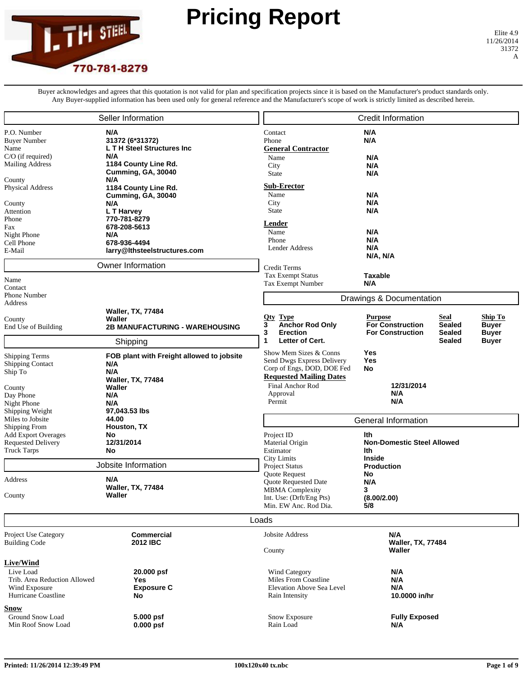

## **Pricing Report**

Buyer acknowledges and agrees that this quotation is not valid for plan and specification projects since it is based on the Manufacturer's product standards only. Any Buyer-supplied information has been used only for general reference and the Manufacturer's scope of work is strictly limited as described herein.

|                                                                                                                                                                                                                                                                               | Seller Information                                                                                                                                                                                                                                    |                                                                                                                                                                                                                                                                                                                                                  | <b>Credit Information</b>                                                                                                                                                                                                                                                                                                     |
|-------------------------------------------------------------------------------------------------------------------------------------------------------------------------------------------------------------------------------------------------------------------------------|-------------------------------------------------------------------------------------------------------------------------------------------------------------------------------------------------------------------------------------------------------|--------------------------------------------------------------------------------------------------------------------------------------------------------------------------------------------------------------------------------------------------------------------------------------------------------------------------------------------------|-------------------------------------------------------------------------------------------------------------------------------------------------------------------------------------------------------------------------------------------------------------------------------------------------------------------------------|
| P.O. Number<br><b>Buyer Number</b><br>Name<br>C/O (if required)<br><b>Mailing Address</b><br>County<br>Physical Address<br>County<br>Attention<br>Phone<br>Fax<br>Night Phone<br>Cell Phone                                                                                   | N/A<br>31372 (6*31372)<br><b>LTH Steel Structures Inc</b><br>N/A<br>1184 County Line Rd.<br>Cumming, GA, 30040<br>N/A<br>1184 County Line Rd.<br>Cumming, GA, 30040<br>N/A<br>L T Harvey<br>770-781-8279<br>678-208-5613<br>N/A<br>678-936-4494       | Contact<br>Phone<br><b>General Contractor</b><br>Name<br>City<br><b>State</b><br>Sub-Erector<br>Name<br>City<br>State<br>Lender<br>Name<br>Phone<br>Lender Address                                                                                                                                                                               | N/A<br>N/A<br>N/A<br>N/A<br>N/A<br>N/A<br>N/A<br>N/A<br>N/A<br>N/A<br>N/A                                                                                                                                                                                                                                                     |
| E-Mail                                                                                                                                                                                                                                                                        | larry@lthsteelstructures.com<br>Owner Information                                                                                                                                                                                                     | Credit Terms                                                                                                                                                                                                                                                                                                                                     | N/A, N/A                                                                                                                                                                                                                                                                                                                      |
| Name<br>Contact<br>Phone Number<br>Address<br>County<br>End Use of Building<br><b>Shipping Terms</b><br><b>Shipping Contact</b><br>Ship To<br>County<br>Day Phone<br>Night Phone<br>Shipping Weight<br>Miles to Jobsite<br><b>Shipping From</b><br><b>Add Export Overages</b> | <b>Waller, TX, 77484</b><br>Waller<br><b>2B MANUFACTURING - WAREHOUSING</b><br>Shipping<br>FOB plant with Freight allowed to jobsite<br>N/A<br>N/A<br><b>Waller, TX, 77484</b><br>Waller<br>N/A<br>N/A<br>97,043.53 lbs<br>44.00<br>Houston, TX<br>No | <b>Tax Exempt Status</b><br>Tax Exempt Number<br><u>Oty</u><br><b>Type</b><br><b>Anchor Rod Only</b><br>3<br>3<br><b>Erection</b><br>Letter of Cert.<br>1<br>Show Mem Sizes & Conns<br>Send Dwgs Express Delivery<br>Corp of Engs, DOD, DOE Fed<br><b>Requested Mailing Dates</b><br><b>Final Anchor Rod</b><br>Approval<br>Permit<br>Project ID | Taxable<br>N/A<br>Drawings & Documentation<br><b>Purpose</b><br>Seal<br><u>Ship To</u><br><b>For Construction</b><br><b>Sealed</b><br><b>Buyer</b><br><b>For Construction</b><br><b>Sealed</b><br><b>Buyer</b><br><b>Sealed</b><br><b>Buyer</b><br>Yes<br>Yes<br>No<br>12/31/2014<br>N/A<br>N/A<br>General Information<br>lth |
| <b>Requested Delivery</b><br><b>Truck Tarps</b>                                                                                                                                                                                                                               | 12/31/2014<br>No                                                                                                                                                                                                                                      | Material Origin<br>Estimator<br><b>City Limits</b>                                                                                                                                                                                                                                                                                               | <b>Non-Domestic Steel Allowed</b><br>lth<br><b>Inside</b>                                                                                                                                                                                                                                                                     |
| Address<br>County                                                                                                                                                                                                                                                             | Jobsite Information<br>N/A<br><b>Waller, TX, 77484</b><br>Waller                                                                                                                                                                                      | <b>Project Status</b><br>Quote Request<br><b>Quote Requested Date</b><br>MBMA Complexity<br>Int. Use: (Drft/Eng Pts)<br>Min. EW Anc. Rod Dia.                                                                                                                                                                                                    | <b>Production</b><br>No<br>N/A<br>3<br>(8.00/2.00)<br>5/8                                                                                                                                                                                                                                                                     |
|                                                                                                                                                                                                                                                                               |                                                                                                                                                                                                                                                       | Loads                                                                                                                                                                                                                                                                                                                                            |                                                                                                                                                                                                                                                                                                                               |
| Project Use Category<br><b>Building Code</b>                                                                                                                                                                                                                                  | <b>Commercial</b><br>2012 IBC                                                                                                                                                                                                                         | Jobsite Address<br>County                                                                                                                                                                                                                                                                                                                        | N/A<br><b>Waller, TX, 77484</b><br>Waller                                                                                                                                                                                                                                                                                     |
| <b>Live/Wind</b><br>Live Load<br>Trib. Area Reduction Allowed<br>Wind Exposure<br>Hurricane Coastline                                                                                                                                                                         | 20.000 psf<br>Yes<br><b>Exposure C</b><br>No                                                                                                                                                                                                          | Wind Category<br>Miles From Coastline<br>Elevation Above Sea Level<br>Rain Intensity                                                                                                                                                                                                                                                             | N/A<br>N/A<br>N/A<br>10.0000 in/hr                                                                                                                                                                                                                                                                                            |
| <u>Snow</u><br>Ground Snow Load<br>Min Roof Snow Load                                                                                                                                                                                                                         | 5.000 psf<br>$0.000$ psf                                                                                                                                                                                                                              | Snow Exposure<br>Rain Load                                                                                                                                                                                                                                                                                                                       | <b>Fully Exposed</b><br>N/A                                                                                                                                                                                                                                                                                                   |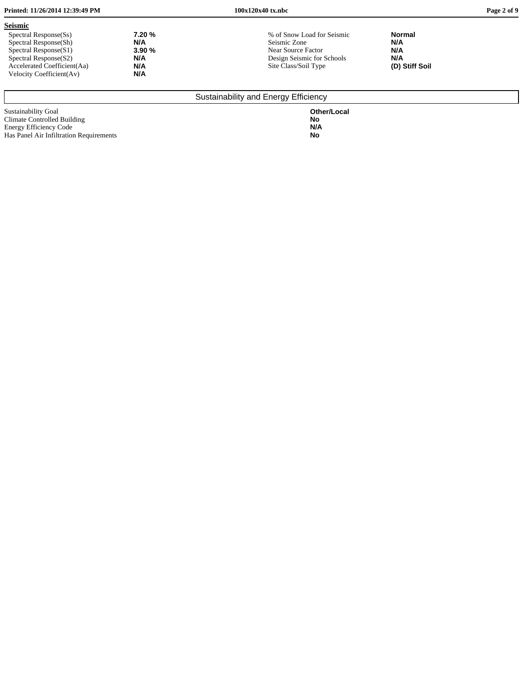| Printed: 11/26/2014 12:39:49 PM                                                                                                                                                                                               | $100x120x40$ tx.nbc                                                                                                    |                                                      | Page 2 of 9 |
|-------------------------------------------------------------------------------------------------------------------------------------------------------------------------------------------------------------------------------|------------------------------------------------------------------------------------------------------------------------|------------------------------------------------------|-------------|
| <b>Seismic</b><br>7.20 %<br>Spectral Response(Ss)<br>N/A<br>Spectral Response(Sh)<br>3.90%<br>Spectral Response(S1)<br>N/A<br>Spectral Response(S2)<br>N/A<br>Accelerated Coefficient (Aa)<br>N/A<br>Velocity Coefficient(Av) | % of Snow Load for Seismic<br>Seismic Zone<br>Near Source Factor<br>Design Seismic for Schools<br>Site Class/Soil Type | <b>Normal</b><br>N/A<br>N/A<br>N/A<br>(D) Stiff Soil |             |

## Sustainability and Energy Efficiency

Sustainability Goal **Other/Local** Climate Controlled Building **No** Energy Efficiency Code **N/A** Has Panel Air Infiltration Requirements **No**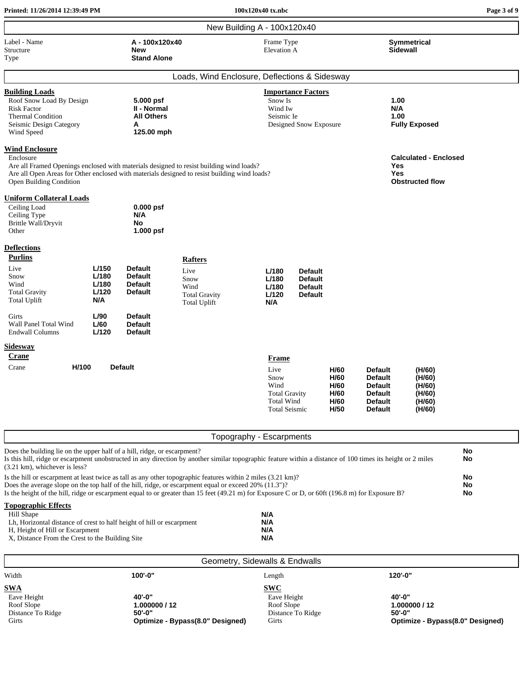| Printed: 11/26/2014 12:39:49 PM                                                                                                                                                                                                                                                                                                                                           |                                         |                                                                      |                                                                                       | 100x120x40 tx.nbc                                                                         |                                                                      |                                              |                                                                                                          |                                                          | Page 3 of 9    |
|---------------------------------------------------------------------------------------------------------------------------------------------------------------------------------------------------------------------------------------------------------------------------------------------------------------------------------------------------------------------------|-----------------------------------------|----------------------------------------------------------------------|---------------------------------------------------------------------------------------|-------------------------------------------------------------------------------------------|----------------------------------------------------------------------|----------------------------------------------|----------------------------------------------------------------------------------------------------------|----------------------------------------------------------|----------------|
|                                                                                                                                                                                                                                                                                                                                                                           |                                         |                                                                      |                                                                                       | New Building A - 100x120x40                                                               |                                                                      |                                              |                                                                                                          |                                                          |                |
| Label - Name<br>Structure<br>Type                                                                                                                                                                                                                                                                                                                                         |                                         | A-100x120x40<br><b>New</b><br><b>Stand Alone</b>                     |                                                                                       | Frame Type<br><b>Elevation A</b>                                                          |                                                                      |                                              | Sidewall                                                                                                 | <b>Symmetrical</b>                                       |                |
|                                                                                                                                                                                                                                                                                                                                                                           |                                         |                                                                      | Loads, Wind Enclosure, Deflections & Sidesway                                         |                                                                                           |                                                                      |                                              |                                                                                                          |                                                          |                |
| <b>Building Loads</b><br>Roof Snow Load By Design<br><b>Risk Factor</b><br><b>Thermal Condition</b><br>Seismic Design Category<br>Wind Speed                                                                                                                                                                                                                              |                                         | 5.000 psf<br>II - Normal<br><b>All Others</b><br>A<br>125.00 mph     |                                                                                       | Snow Is<br>Wind Iw<br>Seismic Ie                                                          | <b>Importance Factors</b><br>Designed Snow Exposure                  |                                              | 1.00<br>N/A<br>1.00                                                                                      | <b>Fully Exposed</b>                                     |                |
| <b>Wind Enclosure</b><br>Enclosure<br>Are all Framed Openings enclosed with materials designed to resist building wind loads?<br>Are all Open Areas for Other enclosed with materials designed to resist building wind loads?<br>Open Building Condition<br><b>Uniform Collateral Loads</b><br>Ceiling Load<br>Ceiling Type<br>Brittle Wall/Dryvit<br>Other               |                                         | $0.000$ psf<br>N/A<br>No<br>1.000 psf                                |                                                                                       |                                                                                           |                                                                      |                                              | Yes<br>Yes                                                                                               | <b>Calculated - Enclosed</b><br><b>Obstructed flow</b>   |                |
| <b>Deflections</b>                                                                                                                                                                                                                                                                                                                                                        |                                         |                                                                      |                                                                                       |                                                                                           |                                                                      |                                              |                                                                                                          |                                                          |                |
| <b>Purlins</b><br>Live<br>Snow<br>Wind<br><b>Total Gravity</b><br><b>Total Uplift</b>                                                                                                                                                                                                                                                                                     | L/150<br>L/180<br>L/180<br>L/120<br>N/A | <b>Default</b><br><b>Default</b><br><b>Default</b><br><b>Default</b> | <b>Rafters</b><br>Live<br>Snow<br>Wind<br><b>Total Gravity</b><br><b>Total Uplift</b> | L/180<br>L/180<br>L/180<br>L/120<br>N/A                                                   | <b>Default</b><br><b>Default</b><br><b>Default</b><br><b>Default</b> |                                              |                                                                                                          |                                                          |                |
| Girts<br>Wall Panel Total Wind<br><b>Endwall Columns</b>                                                                                                                                                                                                                                                                                                                  | L/90<br>L/60<br>L/120                   | <b>Default</b><br><b>Default</b><br><b>Default</b>                   |                                                                                       |                                                                                           |                                                                      |                                              |                                                                                                          |                                                          |                |
| <b>Sidesway</b><br>Crane                                                                                                                                                                                                                                                                                                                                                  |                                         |                                                                      |                                                                                       | <b>Frame</b>                                                                              |                                                                      |                                              |                                                                                                          |                                                          |                |
| H/100<br>Crane                                                                                                                                                                                                                                                                                                                                                            |                                         | <b>Default</b>                                                       |                                                                                       | Live<br>Snow<br>Wind<br><b>Total Gravity</b><br><b>Total Wind</b><br><b>Total Seismic</b> |                                                                      | H/60<br>H/60<br>H/60<br>H/60<br>H/60<br>H/50 | <b>Default</b><br><b>Default</b><br><b>Default</b><br><b>Default</b><br><b>Default</b><br><b>Default</b> | (H/60)<br>(H/60)<br>(H/60)<br>(H/60)<br>(H/60)<br>(H/60) |                |
|                                                                                                                                                                                                                                                                                                                                                                           |                                         |                                                                      |                                                                                       | Topography - Escarpments                                                                  |                                                                      |                                              |                                                                                                          |                                                          |                |
| Does the building lie on the upper half of a hill, ridge, or escarpment?<br>Is this hill, ridge or escarpment unobstructed in any direction by another similar topographic feature within a distance of 100 times its height or 2 miles<br>(3.21 km), whichever is less?                                                                                                  |                                         |                                                                      |                                                                                       |                                                                                           |                                                                      |                                              |                                                                                                          |                                                          | No<br>No       |
| Is the hill or escarpment at least twice as tall as any other topographic features within 2 miles (3.21 km)?<br>Does the average slope on the top half of the hill, ridge, or escarpment equal or exceed 20% (11.3")?<br>Is the height of the hill, ridge or escarpment equal to or greater than 15 feet (49.21 m) for Exposure C or D, or 60ft (196.8 m) for Exposure B? |                                         |                                                                      |                                                                                       |                                                                                           |                                                                      |                                              |                                                                                                          |                                                          | No<br>No<br>No |
| <b>Topographic Effects</b><br>Hill Shape<br>Lh, Horizontal distance of crest to half height of hill or escarpment<br>H, Height of Hill or Escarpment<br>X, Distance From the Crest to the Building Site                                                                                                                                                                   |                                         |                                                                      |                                                                                       | N/A<br>N/A<br>N/A<br>N/A                                                                  |                                                                      |                                              |                                                                                                          |                                                          |                |

| Geometry, Sidewalls & Endwalls                                        |                                                                           |                                                                       |                                                                           |  |  |
|-----------------------------------------------------------------------|---------------------------------------------------------------------------|-----------------------------------------------------------------------|---------------------------------------------------------------------------|--|--|
| Width                                                                 | 100'-0"                                                                   | Length                                                                | 120'-0"                                                                   |  |  |
| <b>SWA</b><br>Eave Height<br>Roof Slope<br>Distance To Ridge<br>Girts | 40'-0"<br>1.000000 / 12<br>$50 - 0$ "<br>Optimize - Bypass(8.0" Designed) | <b>SWC</b><br>Eave Height<br>Roof Slope<br>Distance To Ridge<br>Girts | 40'-0"<br>1.000000 / 12<br>$50 - 0$ "<br>Optimize - Bypass(8.0" Designed) |  |  |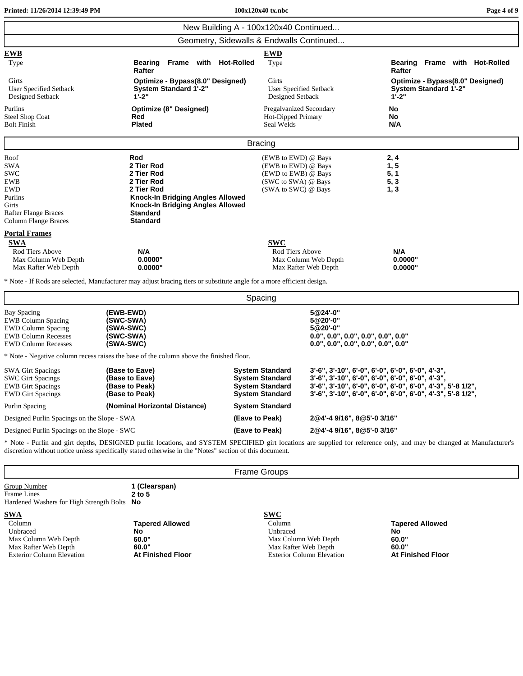| New Building A - 100x120x40 Continued<br>Geometry, Sidewalls & Endwalls Continued<br><b>EWB</b><br><b>EWD</b><br>Type<br><b>Bearing</b><br>Frame with Hot-Rolled<br>Frame with Hot-Rolled<br>Type<br><b>Bearing</b><br>Rafter<br>Rafter<br>Girts<br>Optimize - Bypass(8.0" Designed)<br>Girts<br>Optimize - Bypass(8.0" Designed)<br><b>System Standard 1'-2"</b><br><b>System Standard 1'-2"</b><br><b>User Specified Setback</b><br>User Specified Setback<br>$1 - 2"$<br>$1 - 2"$<br>Designed Setback<br>Designed Setback<br>Purlins<br><b>Optimize (8" Designed)</b><br><b>Pregalvanized Secondary</b><br>No<br>Red<br>Hot-Dipped Primary<br><b>Steel Shop Coat</b><br>No<br><b>Plated</b><br>N/A<br><b>Bolt Finish</b><br>Seal Welds |  |
|-------------------------------------------------------------------------------------------------------------------------------------------------------------------------------------------------------------------------------------------------------------------------------------------------------------------------------------------------------------------------------------------------------------------------------------------------------------------------------------------------------------------------------------------------------------------------------------------------------------------------------------------------------------------------------------------------------------------------------------------|--|
|                                                                                                                                                                                                                                                                                                                                                                                                                                                                                                                                                                                                                                                                                                                                           |  |
|                                                                                                                                                                                                                                                                                                                                                                                                                                                                                                                                                                                                                                                                                                                                           |  |
|                                                                                                                                                                                                                                                                                                                                                                                                                                                                                                                                                                                                                                                                                                                                           |  |
|                                                                                                                                                                                                                                                                                                                                                                                                                                                                                                                                                                                                                                                                                                                                           |  |
|                                                                                                                                                                                                                                                                                                                                                                                                                                                                                                                                                                                                                                                                                                                                           |  |
| <b>Bracing</b>                                                                                                                                                                                                                                                                                                                                                                                                                                                                                                                                                                                                                                                                                                                            |  |
| Rod<br>Roof<br>(EWB to EWD) @ Bays<br>2, 4<br>2 Tier Rod<br>(EWB to EWD) @ Bays<br>1, 5<br>SWA<br>2 Tier Rod<br>(EWD to EWB) @ Bays<br>5, 1<br><b>SWC</b><br><b>EWB</b><br>2 Tier Rod<br>(SWC to SWA) @ Bays<br>5, 3<br><b>EWD</b><br>(SWA to SWC) @ Bays<br>2 Tier Rod<br>1, 3<br>Purlins<br><b>Knock-In Bridging Angles Allowed</b><br><b>Knock-In Bridging Angles Allowed</b><br>Girts<br><b>Standard</b><br>Rafter Flange Braces<br><b>Standard</b><br>Column Flange Braces                                                                                                                                                                                                                                                           |  |
| <b>Portal Frames</b><br><b>SWA</b><br><b>SWC</b><br>Rod Tiers Above<br>N/A<br>Rod Tiers Above<br>N/A<br>0.0000"<br>0.0000"<br>Max Column Web Depth<br>Max Column Web Depth<br>0.0000"<br>0.0000"<br>Max Rafter Web Depth<br>Max Rafter Web Depth                                                                                                                                                                                                                                                                                                                                                                                                                                                                                          |  |
| * Note - If Rods are selected, Manufacturer may adjust bracing tiers or substitute angle for a more efficient design.                                                                                                                                                                                                                                                                                                                                                                                                                                                                                                                                                                                                                     |  |
| Spacing                                                                                                                                                                                                                                                                                                                                                                                                                                                                                                                                                                                                                                                                                                                                   |  |
| <b>Bay Spacing</b><br>5@24'-0"<br>(EWB-EWD)<br><b>EWB Column Spacing</b><br>(SWC-SWA)<br>5@20'-0"<br>5@20'-0"<br><b>EWD Column Spacing</b><br>(SWA-SWC)<br><b>EWB Column Recesses</b><br>(SWC-SWA)<br>$0.0$ ", $0.0$ ", $0.0$ ", $0.0$ ", $0.0$ ", $0.0$ "<br><b>EWD Column Recesses</b><br>(SWA-SWC)<br>$0.0$ ", $0.0$ ", $0.0$ ", $0.0$ ", $0.0$ ", $0.0$ "                                                                                                                                                                                                                                                                                                                                                                             |  |
| * Note - Negative column recess raises the base of the column above the finished floor.                                                                                                                                                                                                                                                                                                                                                                                                                                                                                                                                                                                                                                                   |  |
| 3'-6", 3'-10", 6'-0", 6'-0", 6'-0", 6'-0", 4'-3",<br><b>SWA Girt Spacings</b><br>(Base to Eave)<br>System Standard<br><b>SWC Girt Spacings</b><br><b>System Standard</b><br>3'-6", 3'-10", 6'-0", 6'-0", 6'-0", 6'-0", 4'-3",<br>(Base to Eave)<br>3'-6", 3'-10", 6'-0", 6'-0", 6'-0", 6'-0", 4'-3", 5'-8 1/2",<br><b>EWB</b> Girt Spacings<br>(Base to Peak)<br><b>System Standard</b><br><b>System Standard</b><br>3'-6", 3'-10", 6'-0", 6'-0", 6'-0", 6'-0", 4'-3", 5'-8 1/2",<br><b>EWD Girt Spacings</b><br>(Base to Peak)                                                                                                                                                                                                           |  |
| Purlin Spacing<br>(Nominal Horizontal Distance)<br><b>System Standard</b>                                                                                                                                                                                                                                                                                                                                                                                                                                                                                                                                                                                                                                                                 |  |
| 2@4'-4 9/16", 8@5'-0 3/16"<br>Designed Purlin Spacings on the Slope - SWA<br>(Eave to Peak)                                                                                                                                                                                                                                                                                                                                                                                                                                                                                                                                                                                                                                               |  |
| 2@4'-4 9/16", 8@5'-0 3/16"<br>(Eave to Peak)<br>Designed Purlin Spacings on the Slope - SWC<br>* Note - Purlin and girt depths, DESIGNED purlin locations, and SYSTEM SPECIFIED girt locations are supplied for reference only, and may be changed at Manufacturer's<br>discretion without notice unless specifically stated otherwise in the "Notes" section of this document.                                                                                                                                                                                                                                                                                                                                                           |  |
| <b>Frame Groups</b>                                                                                                                                                                                                                                                                                                                                                                                                                                                                                                                                                                                                                                                                                                                       |  |
| Group Number<br>1 (Clearspan)<br>Frame Lines<br>$2$ to $5$<br>Hardened Washers for High Strength Bolts<br>No                                                                                                                                                                                                                                                                                                                                                                                                                                                                                                                                                                                                                              |  |
| <b>SWC</b><br><b>SWA</b><br>Column<br><b>Tapered Allowed</b><br>Column<br><b>Tapered Allowed</b><br>Unbraced<br>No<br>Unbraced<br><b>No</b><br>Max Column Web Depth<br>60.0"<br>Max Column Web Depth<br>60.0"<br>60.0"<br>60.0"<br>Max Rafter Web Depth<br>Max Rafter Web Depth<br><b>Exterior Column Elevation</b><br><b>At Finished Floor</b><br><b>Exterior Column Elevation</b><br><b>At Finished Floor</b>                                                                                                                                                                                                                                                                                                                           |  |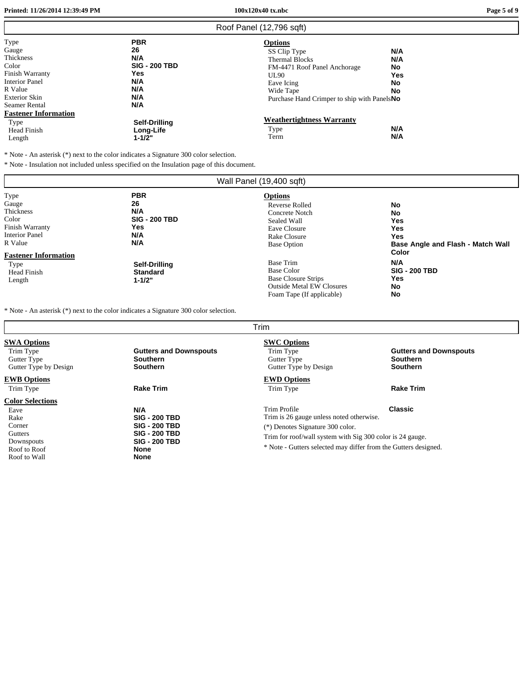**Printed: 11/26/2014 12:39:49 PM 100x120x40 tx.nbc Page 5 of 9**

г

|                                                                                                                                                                           |                                                                                           | Roof Panel (12,796 sqft)                                                                                                                                                          |                                            |
|---------------------------------------------------------------------------------------------------------------------------------------------------------------------------|-------------------------------------------------------------------------------------------|-----------------------------------------------------------------------------------------------------------------------------------------------------------------------------------|--------------------------------------------|
| Type<br>Gauge<br>Thickness<br>Color<br>Finish Warranty<br><b>Interior Panel</b><br>R Value<br><b>Exterior Skin</b><br><b>Seamer Rental</b><br><b>Fastener Information</b> | <b>PBR</b><br>26<br>N/A<br><b>SIG - 200 TBD</b><br><b>Yes</b><br>N/A<br>N/A<br>N/A<br>N/A | <b>Options</b><br>SS Clip Type<br><b>Thermal Blocks</b><br>FM-4471 Roof Panel Anchorage<br><b>UL90</b><br>Eave Icing<br>Wide Tape<br>Purchase Hand Crimper to ship with Panels No | N/A<br>N/A<br>No<br>Yes<br>No<br><b>No</b> |
| Type<br>Head Finish<br>Length                                                                                                                                             | Self-Drilling<br>Long-Life<br>$1 - 1/2"$                                                  | <b>Weathertightness Warranty</b><br>Type<br>Term                                                                                                                                  | N/A<br>N/A                                 |

\* Note - An asterisk (\*) next to the color indicates <sup>a</sup> Signature 300 color selection.

\* Note - Insulation not included unless specified on the Insulation page of this document.

| Wall Panel (19,400 sqft)                                                                                                  |                                                                       |                                                                                                                                |                                                                             |  |
|---------------------------------------------------------------------------------------------------------------------------|-----------------------------------------------------------------------|--------------------------------------------------------------------------------------------------------------------------------|-----------------------------------------------------------------------------|--|
| Type<br>Gauge<br>Thickness<br>Color<br>Finish Warranty<br><b>Interior Panel</b><br>R Value<br><b>Fastener Information</b> | <b>PBR</b><br>26<br>N/A<br><b>SIG - 200 TBD</b><br>Yes.<br>N/A<br>N/A | <b>Options</b><br><b>Reverse Rolled</b><br>Concrete Notch<br>Sealed Wall<br>Eave Closure<br>Rake Closure<br><b>Base Option</b> | No<br>No<br>Yes<br>Yes<br>Yes<br>Base Angle and Flash - Match Wall<br>Color |  |
| Type<br><b>Head Finish</b><br>Length                                                                                      | Self-Drilling<br><b>Standard</b><br>$1 - 1/2"$                        | <b>Base Trim</b><br><b>Base Color</b><br>Base Closure Strips<br><b>Outside Metal EW Closures</b><br>Foam Tape (If applicable)  | N/A<br><b>SIG - 200 TBD</b><br><b>Yes</b><br>No<br>No                       |  |

\* Note - An asterisk (\*) next to the color indicates <sup>a</sup> Signature 300 color selection.

|                                                                                                            |                                                                                                                                   | Trim                                                                                                                                                                                                                         |                                                              |
|------------------------------------------------------------------------------------------------------------|-----------------------------------------------------------------------------------------------------------------------------------|------------------------------------------------------------------------------------------------------------------------------------------------------------------------------------------------------------------------------|--------------------------------------------------------------|
| <b>SWA Options</b><br>Trim Type<br>Gutter Type<br>Gutter Type by Design                                    | <b>Gutters and Downspouts</b><br><b>Southern</b><br><b>Southern</b>                                                               | <b>SWC Options</b><br>Trim Type<br>Gutter Type<br>Gutter Type by Design                                                                                                                                                      | <b>Gutters and Downspouts</b><br>Southern<br><b>Southern</b> |
| <b>EWB Options</b><br>Trim Type                                                                            | <b>Rake Trim</b>                                                                                                                  | <b>EWD Options</b><br>Trim Type                                                                                                                                                                                              | <b>Rake Trim</b>                                             |
| <b>Color Selections</b><br>Eave<br>Rake<br>Corner<br>Gutters<br>Downspouts<br>Roof to Roof<br>Roof to Wall | N/A<br><b>SIG - 200 TBD</b><br><b>SIG - 200 TBD</b><br><b>SIG - 200 TBD</b><br><b>SIG - 200 TBD</b><br><b>None</b><br><b>None</b> | Trim Profile<br>Trim is 26 gauge unless noted otherwise.<br>(*) Denotes Signature 300 color.<br>Trim for roof/wall system with Sig 300 color is 24 gauge.<br>* Note - Gutters selected may differ from the Gutters designed. | <b>Classic</b>                                               |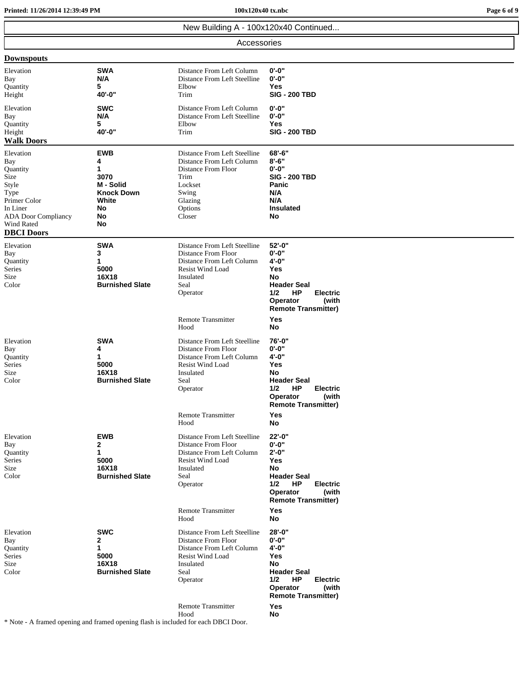**Printed: 11/26/2014 12:39:49 PM 100x120x40 tx.nbc Page 6 of 9**

|                                                                                                                                                    | New Building A - 100x120x40 Continued                                                     |                                                                                                                                                                                                                |                                                                                                                                                                                   |  |  |
|----------------------------------------------------------------------------------------------------------------------------------------------------|-------------------------------------------------------------------------------------------|----------------------------------------------------------------------------------------------------------------------------------------------------------------------------------------------------------------|-----------------------------------------------------------------------------------------------------------------------------------------------------------------------------------|--|--|
|                                                                                                                                                    | Accessories                                                                               |                                                                                                                                                                                                                |                                                                                                                                                                                   |  |  |
| <b>Downspouts</b>                                                                                                                                  |                                                                                           |                                                                                                                                                                                                                |                                                                                                                                                                                   |  |  |
| Elevation<br>Bay<br>Quantity<br>Height                                                                                                             | <b>SWA</b><br>N/A<br>5<br>40'-0"                                                          | Distance From Left Column<br>Distance From Left Steelline<br>Elbow<br>Trim                                                                                                                                     | $0 - 0"$<br>$0 - 0$ "<br>Yes<br><b>SIG - 200 TBD</b>                                                                                                                              |  |  |
| Elevation<br>Bay<br>Quantity<br>Height<br><b>Walk Doors</b>                                                                                        | <b>SWC</b><br>N/A<br>5<br>40'-0"                                                          | Distance From Left Column<br>Distance From Left Steelline<br>Elbow<br>Trim                                                                                                                                     | 0'-0"<br>$0 - 0"$<br>Yes<br><b>SIG - 200 TBD</b>                                                                                                                                  |  |  |
| Elevation<br>Bay<br>Quantity<br>Size<br>Style<br>Type<br>Primer Color<br>In Liner<br><b>ADA</b> Door Compliancy<br>Wind Rated<br><b>DBCI</b> Doors | <b>EWB</b><br>4<br>1<br>3070<br>M - Solid<br><b>Knock Down</b><br>White<br>No<br>No<br>No | Distance From Left Steelline<br>Distance From Left Column<br>Distance From Floor<br>Trim<br>Lockset<br>Swing<br>Glazing<br>Options<br>Closer                                                                   | $68 - 6"$<br>$8 - 6"$<br>$0 - 0"$<br><b>SIG - 200 TBD</b><br>Panic<br>N/A<br>N/A<br><b>Insulated</b><br>No                                                                        |  |  |
| Elevation<br>Bay<br>Quantity<br>Series<br>Size<br>Color                                                                                            | <b>SWA</b><br>3<br>1<br>5000<br>16X18<br><b>Burnished Slate</b>                           | Distance From Left Steelline<br>Distance From Floor<br>Distance From Left Column<br><b>Resist Wind Load</b><br>Insulated<br>Seal<br>Operator<br><b>Remote Transmitter</b>                                      | 52'-0"<br>0'-0"<br>4'-0"<br><b>Yes</b><br>No<br><b>Header Seal</b><br>1/2<br>HP<br><b>Electric</b><br>(with<br>Operator<br><b>Remote Transmitter)</b>                             |  |  |
| Elevation<br>Bay<br>Quantity<br>Series<br>Size<br>Color                                                                                            | <b>SWA</b><br>4<br>1<br>5000<br>16X18<br><b>Burnished Slate</b>                           | Hood<br>Distance From Left Steelline<br>Distance From Floor<br>Distance From Left Column<br><b>Resist Wind Load</b><br>Insulated<br>Seal<br>Operator                                                           | Yes<br>No<br>76'-0"<br>0'-0"<br>$4 - 0"$<br>Yes<br>No<br><b>Header Seal</b><br>HP<br>1/2<br><b>Electric</b><br>Operator<br>(with<br><b>Remote Transmitter)</b>                    |  |  |
| Elevation<br>Bay<br>Quantity<br>Series<br>Size<br>Color                                                                                            | <b>EWB</b><br>2<br>1<br>5000<br>16X18<br><b>Burnished Slate</b>                           | <b>Remote Transmitter</b><br>Hood<br>Distance From Left Steelline<br>Distance From Floor<br>Distance From Left Column<br><b>Resist Wind Load</b><br>Insulated<br>Seal<br>Operator<br><b>Remote Transmitter</b> | Yes<br>No<br>22'-0"<br>$0 - 0"$<br>$2' - 0''$<br><b>Yes</b><br>No<br><b>Header Seal</b><br>1/2<br>HP<br><b>Electric</b><br>(with<br>Operator<br><b>Remote Transmitter)</b><br>Yes |  |  |
| Elevation<br>Bay<br>Quantity<br>Series<br>Size<br>Color                                                                                            | <b>SWC</b><br>2<br>1<br>5000<br>16X18<br><b>Burnished Slate</b>                           | Hood<br>Distance From Left Steelline<br>Distance From Floor<br>Distance From Left Column<br><b>Resist Wind Load</b><br>Insulated<br>Seal<br>Operator<br><b>Remote Transmitter</b>                              | No<br>28'-0"<br>$0 - 0$ "<br>4'-0"<br><b>Yes</b><br>No<br><b>Header Seal</b><br>HP<br>1/2<br><b>Electric</b><br>Operator<br>(with<br><b>Remote Transmitter)</b><br>Yes            |  |  |
|                                                                                                                                                    |                                                                                           | Hood                                                                                                                                                                                                           | No                                                                                                                                                                                |  |  |

\* Note - A framed opening and framed opening flash is included for each DBCI Door.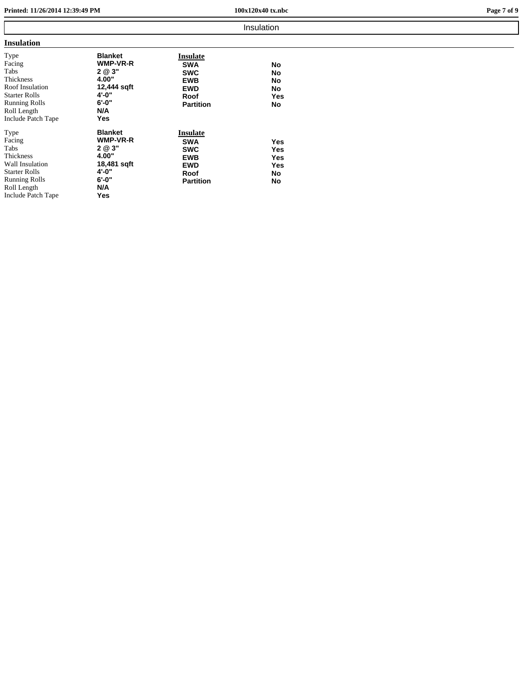**Printed: 11/26/2014 12:39:49 PM 100x120x40 tx.nbc Page 7 of 9**

|                                                                                                                                             |                                                                                                   |                                                                                              | Insulation                                  |  |
|---------------------------------------------------------------------------------------------------------------------------------------------|---------------------------------------------------------------------------------------------------|----------------------------------------------------------------------------------------------|---------------------------------------------|--|
| <b>Insulation</b>                                                                                                                           |                                                                                                   |                                                                                              |                                             |  |
| Type<br>Facing<br>Tabs<br>Thickness<br>Roof Insulation<br><b>Starter Rolls</b><br><b>Running Rolls</b><br>Roll Length<br>Include Patch Tape | <b>Blanket</b><br>WMP-VR-R<br>2 @ 3"<br>4.00"<br>12,444 sqft<br>4'-0"<br>$6' - 0''$<br>N/A<br>Yes | Insulate<br><b>SWA</b><br><b>SWC</b><br><b>EWB</b><br><b>EWD</b><br>Roof<br><b>Partition</b> | No<br>No<br>No<br>No<br><b>Yes</b><br>No    |  |
| Type<br>Facing<br>Tabs<br>Thickness<br>Wall Insulation<br><b>Starter Rolls</b><br><b>Running Rolls</b><br>Roll Length<br>Include Patch Tape | <b>Blanket</b><br>WMP-VR-R<br>2 @ 3"<br>4.00"<br>18,481 sqft<br>4'-0"<br>6'-0"<br>N/A<br>Yes      | Insulate<br><b>SWA</b><br><b>SWC</b><br><b>EWB</b><br><b>EWD</b><br>Roof<br><b>Partition</b> | <b>Yes</b><br>Yes<br>Yes<br>Yes<br>No<br>No |  |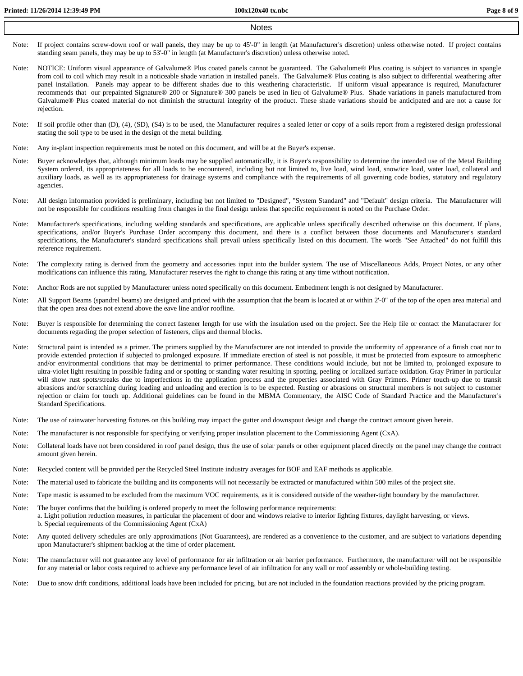- Note: If project contains screw-down roof or wall panels, they may be up to 45'-0" in length (at Manufacturer's discretion) unless otherwise noted. If project contains standing seam panels, they may be up to 53'-0" in length (at Manufacturer's discretion) unless otherwise noted.
- Note: NOTICE: Uniform visual appearance of Galvalume® Plus coated panels cannot be guaranteed. The Galvalume® Plus coating is subject to variances in spangle from coil to coil which may result in a noticeable shade variation in installed panels. The Galvalume® Plus coating is also subject to differential weathering after panel installation. Panels may appear to be different shades due to this weathering characteristic. If uniform visual appearance is required, Manufacturer recommends that our prepainted Signature® 200 or Signature® 300 panels be used in lieu of Galvalume® Plus. Shade variations in panels manufactured from Galvalume® Plus coated material do not diminish the structural integrity of the product. These shade variations should be anticipated and are not <sup>a</sup> cause for rejection.
- Note: If soil profile other than (D), (4), (SD), (S4) is to be used, the Manufacturer requires a sealed letter or copy of a soils report from a registered design professional stating the soil type to be used in the design of the metal building.
- Note: Any in-plant inspection requirements must be noted on this document, and will be at the Buyer's expense.
- Note: Buyer acknowledges that, although minimum loads may be supplied automatically, it is Buyer's responsibility to determine the intended use of the Metal Building System ordered, its appropriateness for all loads to be encountered, including but not limited to, live load, wind load, snow/ice load, water load, collateral and auxiliary loads, as well as its appropriateness for drainage systems and compliance with the requirements of all governing code bodies, statutory and regulatory agencies.
- Note: All design information provided is preliminary, including but not limited to "Designed", "System Standard" and "Default" design criteria. The Manufacturer will not be responsible for conditions resulting from changes in the final design unless that specific requirement is noted on the Purchase Order.
- Note: Manufacturer's specifications, including welding standards and specifications, are applicable unless specifically described otherwise on this document. If plans, specifications, and/or Buyer's Purchase Order accompany this document, and there is <sup>a</sup> conflict between those documents and Manufacturer's standard specifications, the Manufacturer's standard specifications shall prevail unless specifically listed on this document. The words "See Attached" do not fulfill this reference requirement.
- Note: The complexity rating is derived from the geometry and accessories input into the builder system. The use of Miscellaneous Adds, Project Notes, or any other modifications can influence this rating. Manufacturer reserves the right to change this rating at any time without notification.
- Note: Anchor Rods are not supplied by Manufacturer unless noted specifically on this document. Embedment length is not designed by Manufacturer.
- Note: All Support Beams (spandrel beams) are designed and priced with the assumption that the beam is located at or within 2'-0" of the top of the open area material and that the open area does not extend above the eave line and/or roofline.
- Note: Buyer is responsible for determining the correct fastener length for use with the insulation used on the project. See the Help file or contact the Manufacturer for documents regarding the proper selection of fasteners, clips and thermal blocks.
- Note: Structural paint is intended as <sup>a</sup> primer. The primers supplied by the Manufacturer are not intended to provide the uniformity of appearance of <sup>a</sup> finish coat nor to provide extended protection if subjected to prolonged exposure. If immediate erection of steel is not possible, it must be protected from exposure to atmospheric and/or environmental conditions that may be detrimental to primer performance. These conditions would include, but not be limited to, prolonged exposure to ultra-violet light resulting in possible fading and or spotting or standing water resulting in spotting, peeling or localized surface oxidation. Gray Primer in particular will show rust spots/streaks due to imperfections in the application process and the properties associated with Gray Primers. Primer touch-up due to transit abrasions and/or scratching during loading and unloading and erection is to be expected. Rusting or abrasions on structural members is not subject to customer rejection or claim for touch up. Additional guidelines can be found in the MBMA Commentary, the AISC Code of Standard Practice and the Manufacturer's Standard Specifications.
- Note: The use of rainwater harvesting fixtures on this building may impact the gutter and downspout design and change the contract amount given herein.
- Note: The manufacturer is not responsible for specifying or verifying proper insulation placement to the Commissioning Agent (CxA).
- Note: Collateral loads have not been considered in roof panel design, thus the use of solar panels or other equipment placed directly on the panel may change the contract amount given herein.
- Note: Recycled content will be provided per the Recycled Steel Institute industry averages for BOF and EAF methods as applicable.
- Note: The material used to fabricate the building and its components will not necessarily be extracted or manufactured within 500 miles of the project site.
- Note: Tape mastic is assumed to be excluded from the maximum VOC requirements, as it is considered outside of the weather-tight boundary by the manufacturer.
- Note: The buyer confirms that the building is ordered properly to meet the following performance requirements: a. Light pollution reduction measures, in particular the placement of door and windows relative to interior lighting fixtures, daylight harvesting, or views. b. Special requirements of the Commissioning Agent (CxA)
- Note: Any quoted delivery schedules are only approximations (Not Guarantees), are rendered as <sup>a</sup> convenience to the customer, and are subject to variations depending upon Manufacturer's shipment backlog at the time of order placement.
- Note: The manufacturer will not guarantee any level of performance for air infiltration or air barrier performance. Furthermore, the manufacturer will not be responsible for any material or labor costs required to achieve any performance level of air infiltration for any wall or roof assembly or whole-building testing.
- Note: Due to snow drift conditions, additional loads have been included for pricing, but are not included in the foundation reactions provided by the pricing program.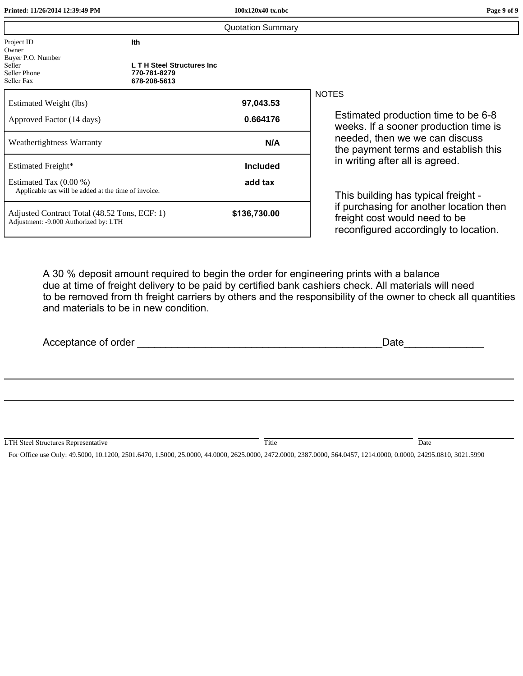| Printed: 11/26/2014 12:39:49 PM                                                        |                                                                  | 100x120x40 tx.nbc        | Page 9 of 9                                                                                                       |
|----------------------------------------------------------------------------------------|------------------------------------------------------------------|--------------------------|-------------------------------------------------------------------------------------------------------------------|
|                                                                                        |                                                                  | <b>Quotation Summary</b> |                                                                                                                   |
| Project ID<br>Owner<br>Buyer P.O. Number                                               | Ith                                                              |                          |                                                                                                                   |
| Seller<br>Seller Phone<br>Seller Fax                                                   | <b>LT H Steel Structures Inc</b><br>770-781-8279<br>678-208-5613 |                          |                                                                                                                   |
| Estimated Weight (lbs)                                                                 |                                                                  | 97,043.53                | <b>NOTES</b>                                                                                                      |
| Approved Factor (14 days)                                                              |                                                                  | 0.664176                 | Estimated production time to be 6-8<br>weeks. If a sooner production time is                                      |
| Weathertightness Warranty                                                              |                                                                  | N/A                      | needed, then we we can discuss<br>the payment terms and establish this                                            |
| Estimated Freight*                                                                     |                                                                  | <b>Included</b>          | in writing after all is agreed.                                                                                   |
| Estimated Tax $(0.00\%)$<br>Applicable tax will be added at the time of invoice.       |                                                                  | add tax                  | This building has typical freight -                                                                               |
| Adjusted Contract Total (48.52 Tons, ECF: 1)<br>Adjustment: - 9.000 Authorized by: LTH |                                                                  | \$136,730.00             | if purchasing for another location then<br>freight cost would need to be<br>reconfigured accordingly to location. |
|                                                                                        |                                                                  |                          |                                                                                                                   |

A 30 % deposit amount required to begin the order for engineering prints with a balance due at time of freight delivery to be paid by certified bank cashiers check. All materials will need to be removed from th freight carriers by others and the responsibility of the owner to check all quantities and materials to be in new condition.

| Acceptance of order _                      | <u> 1980 - Andrea Andrew Maria III (b. 1980)</u> | Date |  |  |
|--------------------------------------------|--------------------------------------------------|------|--|--|
|                                            |                                                  |      |  |  |
|                                            |                                                  |      |  |  |
|                                            |                                                  |      |  |  |
| <b>LTH Steel Structures Representative</b> | Title                                            | Date |  |  |

For Office use Only: 49.5000, 10.1200, 2501.6470, 1.5000, 25.0000, 44.0000, 2625.0000, 2472.0000, 2387.0000, 564.0457, 1214.0000, 0.0000, 24295.0810, 3021.5990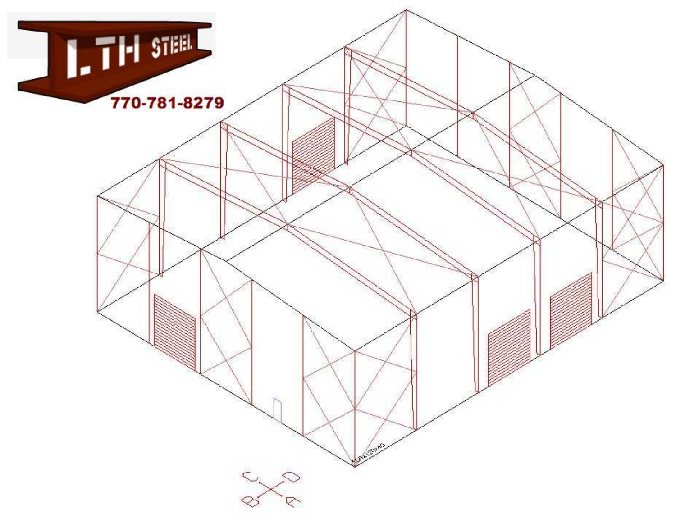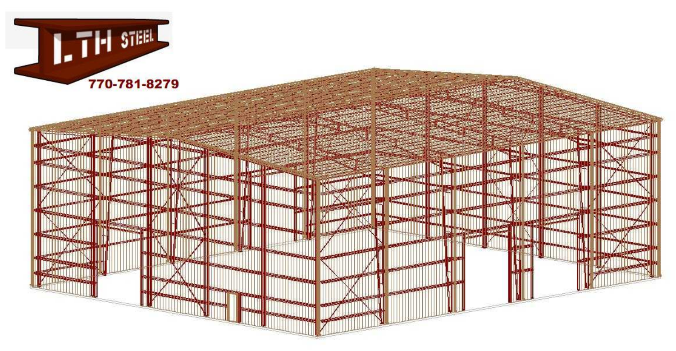